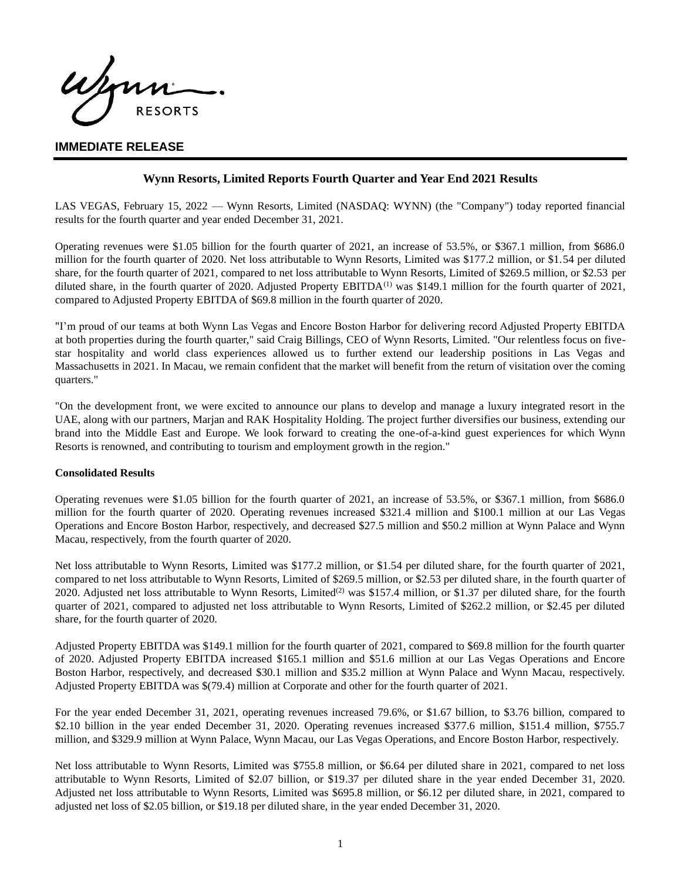Wann **RESORTS** 

## **IMMEDIATE RELEASE**

### **Wynn Resorts, Limited Reports Fourth Quarter and Year End 2021 Results**

LAS VEGAS, February 15, 2022 — Wynn Resorts, Limited (NASDAQ: WYNN) (the "Company") today reported financial results for the fourth quarter and year ended December 31, 2021.

Operating revenues were \$1.05 billion for the fourth quarter of 2021, an increase of 53.5%, or \$367.1 million, from \$686.0 million for the fourth quarter of 2020. Net loss attributable to Wynn Resorts, Limited was \$177.2 million, or \$1.54 per diluted share, for the fourth quarter of 2021, compared to net loss attributable to Wynn Resorts, Limited of \$269.5 million, or \$2.53 per diluted share, in the fourth quarter of 2020. Adjusted Property EBITDA<sup>(1)</sup> was \$149.1 million for the fourth quarter of 2021, compared to Adjusted Property EBITDA of \$69.8 million in the fourth quarter of 2020.

"I'm proud of our teams at both Wynn Las Vegas and Encore Boston Harbor for delivering record Adjusted Property EBITDA at both properties during the fourth quarter," said Craig Billings, CEO of Wynn Resorts, Limited. "Our relentless focus on fivestar hospitality and world class experiences allowed us to further extend our leadership positions in Las Vegas and Massachusetts in 2021. In Macau, we remain confident that the market will benefit from the return of visitation over the coming quarters."

"On the development front, we were excited to announce our plans to develop and manage a luxury integrated resort in the UAE, along with our partners, Marjan and RAK Hospitality Holding. The project further diversifies our business, extending our brand into the Middle East and Europe. We look forward to creating the one-of-a-kind guest experiences for which Wynn Resorts is renowned, and contributing to tourism and employment growth in the region."

### **Consolidated Results**

Operating revenues were \$1.05 billion for the fourth quarter of 2021, an increase of 53.5%, or \$367.1 million, from \$686.0 million for the fourth quarter of 2020. Operating revenues increased \$321.4 million and \$100.1 million at our Las Vegas Operations and Encore Boston Harbor, respectively, and decreased \$27.5 million and \$50.2 million at Wynn Palace and Wynn Macau, respectively, from the fourth quarter of 2020.

Net loss attributable to Wynn Resorts, Limited was \$177.2 million, or \$1.54 per diluted share, for the fourth quarter of 2021, compared to net loss attributable to Wynn Resorts, Limited of \$269.5 million, or \$2.53 per diluted share, in the fourth quarter of 2020. Adjusted net loss attributable to Wynn Resorts, Limited<sup>(2)</sup> was \$157.4 million, or \$1.37 per diluted share, for the fourth quarter of 2021, compared to adjusted net loss attributable to Wynn Resorts, Limited of \$262.2 million, or \$2.45 per diluted share, for the fourth quarter of 2020.

Adjusted Property EBITDA was \$149.1 million for the fourth quarter of 2021, compared to \$69.8 million for the fourth quarter of 2020. Adjusted Property EBITDA increased \$165.1 million and \$51.6 million at our Las Vegas Operations and Encore Boston Harbor, respectively, and decreased \$30.1 million and \$35.2 million at Wynn Palace and Wynn Macau, respectively. Adjusted Property EBITDA was \$(79.4) million at Corporate and other for the fourth quarter of 2021.

For the year ended December 31, 2021, operating revenues increased 79.6%, or \$1.67 billion, to \$3.76 billion, compared to \$2.10 billion in the year ended December 31, 2020. Operating revenues increased \$377.6 million, \$151.4 million, \$755.7 million, and \$329.9 million at Wynn Palace, Wynn Macau, our Las Vegas Operations, and Encore Boston Harbor, respectively.

Net loss attributable to Wynn Resorts, Limited was \$755.8 million, or \$6.64 per diluted share in 2021, compared to net loss attributable to Wynn Resorts, Limited of \$2.07 billion, or \$19.37 per diluted share in the year ended December 31, 2020. Adjusted net loss attributable to Wynn Resorts, Limited was \$695.8 million, or \$6.12 per diluted share, in 2021, compared to adjusted net loss of \$2.05 billion, or \$19.18 per diluted share, in the year ended December 31, 2020.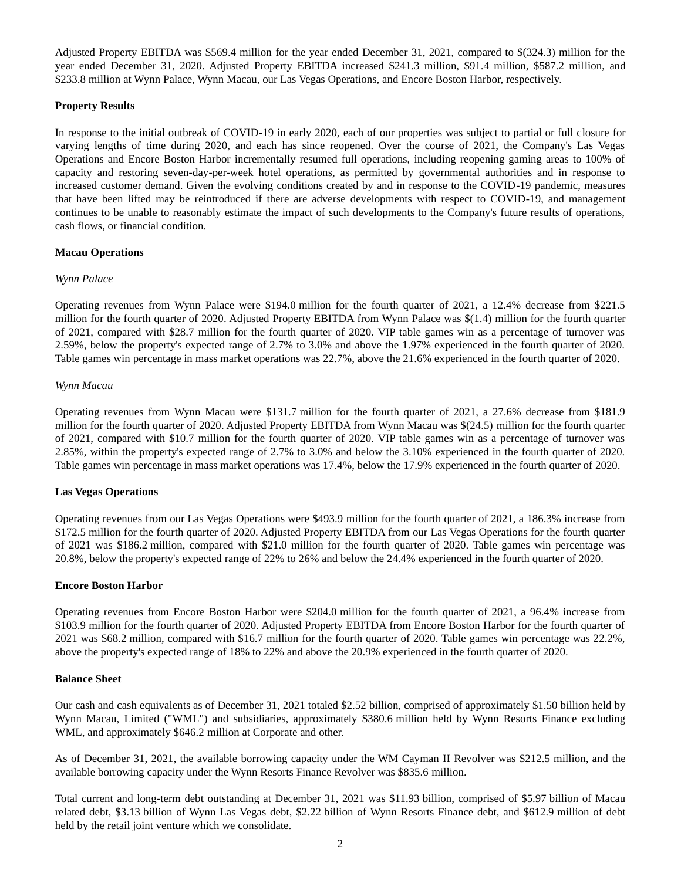Adjusted Property EBITDA was \$569.4 million for the year ended December 31, 2021, compared to \$(324.3) million for the year ended December 31, 2020. Adjusted Property EBITDA increased \$241.3 million, \$91.4 million, \$587.2 million, and \$233.8 million at Wynn Palace, Wynn Macau, our Las Vegas Operations, and Encore Boston Harbor, respectively.

### **Property Results**

In response to the initial outbreak of COVID-19 in early 2020, each of our properties was subject to partial or full closure for varying lengths of time during 2020, and each has since reopened. Over the course of 2021, the Company's Las Vegas Operations and Encore Boston Harbor incrementally resumed full operations, including reopening gaming areas to 100% of capacity and restoring seven-day-per-week hotel operations, as permitted by governmental authorities and in response to increased customer demand. Given the evolving conditions created by and in response to the COVID-19 pandemic, measures that have been lifted may be reintroduced if there are adverse developments with respect to COVID-19, and management continues to be unable to reasonably estimate the impact of such developments to the Company's future results of operations, cash flows, or financial condition.

### **Macau Operations**

### *Wynn Palace*

Operating revenues from Wynn Palace were \$194.0 million for the fourth quarter of 2021, a 12.4% decrease from \$221.5 million for the fourth quarter of 2020. Adjusted Property EBITDA from Wynn Palace was \$(1.4) million for the fourth quarter of 2021, compared with \$28.7 million for the fourth quarter of 2020. VIP table games win as a percentage of turnover was 2.59%, below the property's expected range of 2.7% to 3.0% and above the 1.97% experienced in the fourth quarter of 2020. Table games win percentage in mass market operations was 22.7%, above the 21.6% experienced in the fourth quarter of 2020.

### *Wynn Macau*

Operating revenues from Wynn Macau were \$131.7 million for the fourth quarter of 2021, a 27.6% decrease from \$181.9 million for the fourth quarter of 2020. Adjusted Property EBITDA from Wynn Macau was \$(24.5) million for the fourth quarter of 2021, compared with \$10.7 million for the fourth quarter of 2020. VIP table games win as a percentage of turnover was 2.85%, within the property's expected range of 2.7% to 3.0% and below the 3.10% experienced in the fourth quarter of 2020. Table games win percentage in mass market operations was 17.4%, below the 17.9% experienced in the fourth quarter of 2020.

### **Las Vegas Operations**

Operating revenues from our Las Vegas Operations were \$493.9 million for the fourth quarter of 2021, a 186.3% increase from \$172.5 million for the fourth quarter of 2020. Adjusted Property EBITDA from our Las Vegas Operations for the fourth quarter of 2021 was \$186.2 million, compared with \$21.0 million for the fourth quarter of 2020. Table games win percentage was 20.8%, below the property's expected range of 22% to 26% and below the 24.4% experienced in the fourth quarter of 2020.

### **Encore Boston Harbor**

Operating revenues from Encore Boston Harbor were \$204.0 million for the fourth quarter of 2021, a 96.4% increase from \$103.9 million for the fourth quarter of 2020. Adjusted Property EBITDA from Encore Boston Harbor for the fourth quarter of 2021 was \$68.2 million, compared with \$16.7 million for the fourth quarter of 2020. Table games win percentage was 22.2%, above the property's expected range of 18% to 22% and above the 20.9% experienced in the fourth quarter of 2020.

### **Balance Sheet**

Our cash and cash equivalents as of December 31, 2021 totaled \$2.52 billion, comprised of approximately \$1.50 billion held by Wynn Macau, Limited ("WML") and subsidiaries, approximately \$380.6 million held by Wynn Resorts Finance excluding WML, and approximately \$646.2 million at Corporate and other.

As of December 31, 2021, the available borrowing capacity under the WM Cayman II Revolver was \$212.5 million, and the available borrowing capacity under the Wynn Resorts Finance Revolver was \$835.6 million.

Total current and long-term debt outstanding at December 31, 2021 was \$11.93 billion, comprised of \$5.97 billion of Macau related debt, \$3.13 billion of Wynn Las Vegas debt, \$2.22 billion of Wynn Resorts Finance debt, and \$612.9 million of debt held by the retail joint venture which we consolidate.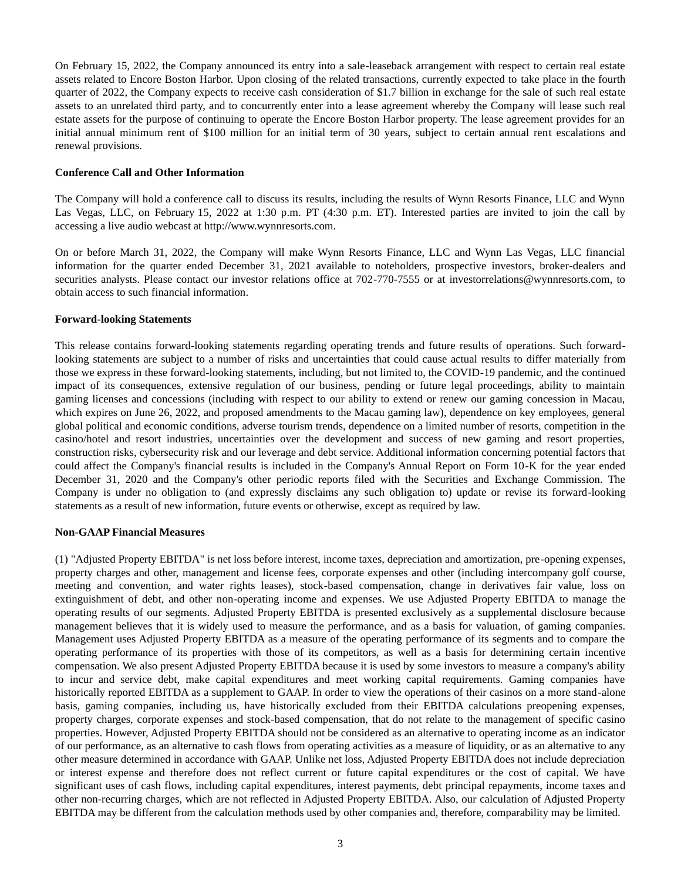On February 15, 2022, the Company announced its entry into a sale-leaseback arrangement with respect to certain real estate assets related to Encore Boston Harbor. Upon closing of the related transactions, currently expected to take place in the fourth quarter of 2022, the Company expects to receive cash consideration of \$1.7 billion in exchange for the sale of such real estate assets to an unrelated third party, and to concurrently enter into a lease agreement whereby the Company will lease such real estate assets for the purpose of continuing to operate the Encore Boston Harbor property. The lease agreement provides for an initial annual minimum rent of \$100 million for an initial term of 30 years, subject to certain annual rent escalations and renewal provisions.

### **Conference Call and Other Information**

The Company will hold a conference call to discuss its results, including the results of Wynn Resorts Finance, LLC and Wynn Las Vegas, LLC, on February 15, 2022 at 1:30 p.m. PT (4:30 p.m. ET). Interested parties are invited to join the call by accessing a live audio webcast at http://www.wynnresorts.com.

On or before March 31, 2022, the Company will make Wynn Resorts Finance, LLC and Wynn Las Vegas, LLC financial information for the quarter ended December 31, 2021 available to noteholders, prospective investors, broker-dealers and securities analysts. Please contact our investor relations office at 702-770-7555 or at investorrelations@wynnresorts.com, to obtain access to such financial information.

### **Forward-looking Statements**

This release contains forward-looking statements regarding operating trends and future results of operations. Such forwardlooking statements are subject to a number of risks and uncertainties that could cause actual results to differ materially from those we express in these forward-looking statements, including, but not limited to, the COVID-19 pandemic, and the continued impact of its consequences, extensive regulation of our business, pending or future legal proceedings, ability to maintain gaming licenses and concessions (including with respect to our ability to extend or renew our gaming concession in Macau, which expires on June 26, 2022, and proposed amendments to the Macau gaming law), dependence on key employees, general global political and economic conditions, adverse tourism trends, dependence on a limited number of resorts, competition in the casino/hotel and resort industries, uncertainties over the development and success of new gaming and resort properties, construction risks, cybersecurity risk and our leverage and debt service. Additional information concerning potential factors that could affect the Company's financial results is included in the Company's Annual Report on Form 10-K for the year ended December 31, 2020 and the Company's other periodic reports filed with the Securities and Exchange Commission. The Company is under no obligation to (and expressly disclaims any such obligation to) update or revise its forward-looking statements as a result of new information, future events or otherwise, except as required by law.

### **Non-GAAP Financial Measures**

(1) "Adjusted Property EBITDA" is net loss before interest, income taxes, depreciation and amortization, pre-opening expenses, property charges and other, management and license fees, corporate expenses and other (including intercompany golf course, meeting and convention, and water rights leases), stock-based compensation, change in derivatives fair value, loss on extinguishment of debt, and other non-operating income and expenses. We use Adjusted Property EBITDA to manage the operating results of our segments. Adjusted Property EBITDA is presented exclusively as a supplemental disclosure because management believes that it is widely used to measure the performance, and as a basis for valuation, of gaming companies. Management uses Adjusted Property EBITDA as a measure of the operating performance of its segments and to compare the operating performance of its properties with those of its competitors, as well as a basis for determining certain incentive compensation. We also present Adjusted Property EBITDA because it is used by some investors to measure a company's ability to incur and service debt, make capital expenditures and meet working capital requirements. Gaming companies have historically reported EBITDA as a supplement to GAAP. In order to view the operations of their casinos on a more stand-alone basis, gaming companies, including us, have historically excluded from their EBITDA calculations preopening expenses, property charges, corporate expenses and stock-based compensation, that do not relate to the management of specific casino properties. However, Adjusted Property EBITDA should not be considered as an alternative to operating income as an indicator of our performance, as an alternative to cash flows from operating activities as a measure of liquidity, or as an alternative to any other measure determined in accordance with GAAP. Unlike net loss, Adjusted Property EBITDA does not include depreciation or interest expense and therefore does not reflect current or future capital expenditures or the cost of capital. We have significant uses of cash flows, including capital expenditures, interest payments, debt principal repayments, income taxes and other non-recurring charges, which are not reflected in Adjusted Property EBITDA. Also, our calculation of Adjusted Property EBITDA may be different from the calculation methods used by other companies and, therefore, comparability may be limited.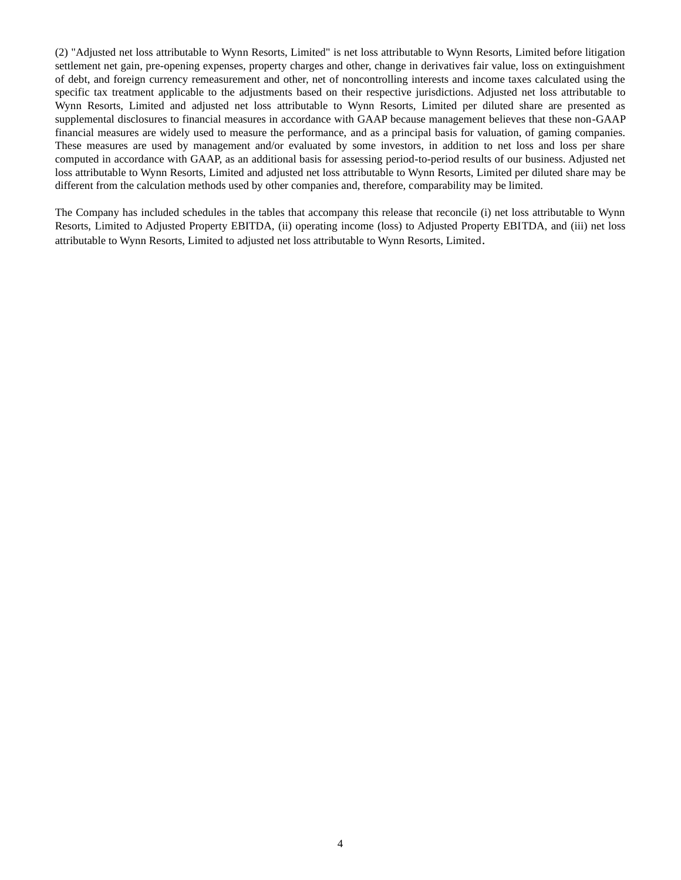(2) "Adjusted net loss attributable to Wynn Resorts, Limited" is net loss attributable to Wynn Resorts, Limited before litigation settlement net gain, pre-opening expenses, property charges and other, change in derivatives fair value, loss on extinguishment of debt, and foreign currency remeasurement and other, net of noncontrolling interests and income taxes calculated using the specific tax treatment applicable to the adjustments based on their respective jurisdictions. Adjusted net loss attributable to Wynn Resorts, Limited and adjusted net loss attributable to Wynn Resorts, Limited per diluted share are presented as supplemental disclosures to financial measures in accordance with GAAP because management believes that these non-GAAP financial measures are widely used to measure the performance, and as a principal basis for valuation, of gaming companies. These measures are used by management and/or evaluated by some investors, in addition to net loss and loss per share computed in accordance with GAAP, as an additional basis for assessing period-to-period results of our business. Adjusted net loss attributable to Wynn Resorts, Limited and adjusted net loss attributable to Wynn Resorts, Limited per diluted share may be different from the calculation methods used by other companies and, therefore, comparability may be limited.

The Company has included schedules in the tables that accompany this release that reconcile (i) net loss attributable to Wynn Resorts, Limited to Adjusted Property EBITDA, (ii) operating income (loss) to Adjusted Property EBITDA, and (iii) net loss attributable to Wynn Resorts, Limited to adjusted net loss attributable to Wynn Resorts, Limited.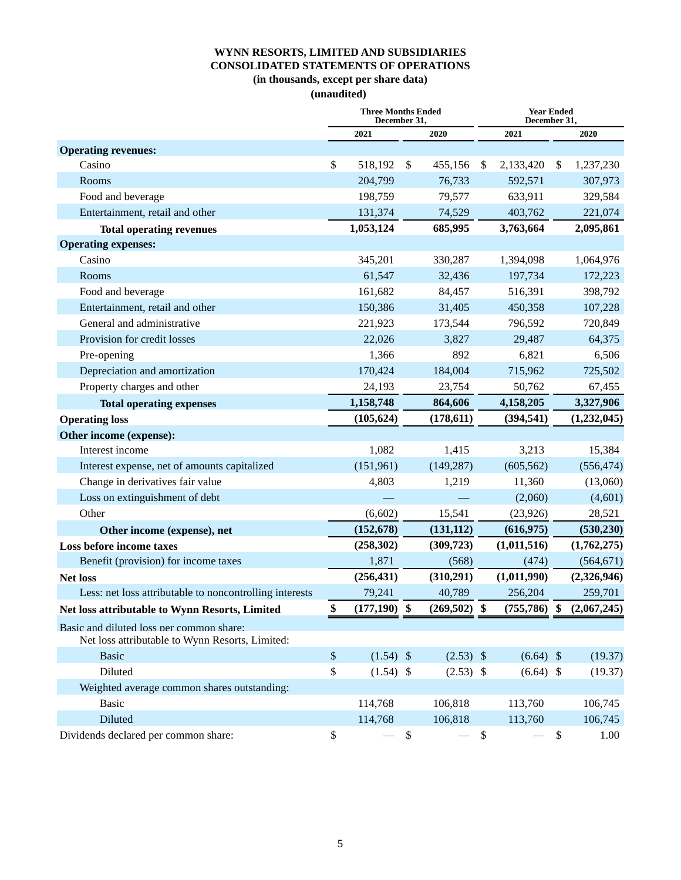## **WYNN RESORTS, LIMITED AND SUBSIDIARIES CONSOLIDATED STATEMENTS OF OPERATIONS (in thousands, except per share data)**

**(unaudited)**

|                                                         | <b>Three Months Ended</b><br>December 31, |        |                |                           | <b>Year Ended</b><br>December 31, |               |             |
|---------------------------------------------------------|-------------------------------------------|--------|----------------|---------------------------|-----------------------------------|---------------|-------------|
|                                                         | 2021                                      |        | 2020           |                           | 2021                              |               | 2020        |
| <b>Operating revenues:</b>                              |                                           |        |                |                           |                                   |               |             |
| Casino                                                  | \$<br>518,192                             | \$     | 455,156        | <sup>\$</sup>             | 2,133,420                         | \$            | 1,237,230   |
| Rooms                                                   | 204,799                                   |        | 76,733         |                           | 592,571                           |               | 307,973     |
| Food and beverage                                       | 198,759                                   |        | 79,577         |                           | 633,911                           |               | 329,584     |
| Entertainment, retail and other                         | 131,374                                   |        | 74,529         |                           | 403,762                           |               | 221,074     |
| <b>Total operating revenues</b>                         | 1,053,124                                 |        | 685,995        |                           | 3,763,664                         |               | 2,095,861   |
| <b>Operating expenses:</b>                              |                                           |        |                |                           |                                   |               |             |
| Casino                                                  | 345,201                                   |        | 330,287        |                           | 1,394,098                         |               | 1,064,976   |
| Rooms                                                   | 61,547                                    |        | 32,436         |                           | 197,734                           |               | 172,223     |
| Food and beverage                                       | 161,682                                   |        | 84,457         |                           | 516,391                           |               | 398,792     |
| Entertainment, retail and other                         | 150,386                                   |        | 31,405         |                           | 450,358                           |               | 107,228     |
| General and administrative                              | 221,923                                   |        | 173,544        |                           | 796,592                           |               | 720,849     |
| Provision for credit losses                             | 22,026                                    |        | 3,827          |                           | 29,487                            |               | 64,375      |
| Pre-opening                                             | 1,366                                     |        | 892            |                           | 6,821                             |               | 6,506       |
| Depreciation and amortization                           | 170,424                                   |        | 184,004        |                           | 715,962                           |               | 725,502     |
| Property charges and other                              | 24,193                                    |        | 23,754         |                           | 50,762                            |               | 67,455      |
| <b>Total operating expenses</b>                         | 1,158,748                                 |        | 864,606        |                           | 4,158,205                         |               | 3,327,906   |
| <b>Operating loss</b>                                   | (105, 624)                                |        | (178, 611)     |                           | (394, 541)                        |               | (1,232,045) |
| Other income (expense):                                 |                                           |        |                |                           |                                   |               |             |
| Interest income                                         | 1,082                                     |        | 1,415          |                           | 3,213                             |               | 15,384      |
| Interest expense, net of amounts capitalized            | (151,961)                                 |        | (149, 287)     |                           | (605, 562)                        |               | (556, 474)  |
| Change in derivatives fair value                        | 4,803                                     |        | 1,219          |                           | 11,360                            |               | (13,060)    |
| Loss on extinguishment of debt                          |                                           |        |                |                           | (2,060)                           |               | (4,601)     |
| Other                                                   | (6,602)                                   |        | 15,541         |                           | (23, 926)                         |               | 28,521      |
| Other income (expense), net                             | (152, 678)                                |        | (131, 112)     |                           | (616, 975)                        |               | (530, 230)  |
| Loss before income taxes                                | (258, 302)                                |        | (309, 723)     |                           | (1,011,516)                       |               | (1,762,275) |
| Benefit (provision) for income taxes                    | 1,871                                     |        | (568)          |                           | (474)                             |               | (564, 671)  |
| <b>Net loss</b>                                         | (256, 431)                                |        | (310,291)      |                           | (1,011,990)                       |               | (2,326,946) |
| Less: net loss attributable to noncontrolling interests | 79,241                                    |        | 40,789         |                           | 256,204                           |               | 259,701     |
| Net loss attributable to Wynn Resorts, Limited          | \$<br>$(177,190)$ \$                      |        | $(269,502)$ \$ |                           | $(755,786)$ \$                    |               | (2,067,245) |
| Basic and diluted loss ner common share:                |                                           |        |                |                           |                                   |               |             |
| Net loss attributable to Wynn Resorts, Limited:         |                                           |        |                |                           |                                   |               |             |
| <b>Basic</b>                                            | \$<br>$(1.54)$ \$                         |        | $(2.53)$ \$    |                           | $(6.64)$ \$                       |               | (19.37)     |
| Diluted                                                 | \$<br>$(1.54)$ \$                         |        | $(2.53)$ \$    |                           | $(6.64)$ \$                       |               | (19.37)     |
| Weighted average common shares outstanding:             |                                           |        |                |                           |                                   |               |             |
| <b>Basic</b>                                            | 114,768                                   |        | 106,818        |                           | 113,760                           |               | 106,745     |
| Diluted                                                 | 114,768                                   |        | 106,818        |                           | 113,760                           |               | 106,745     |
| Dividends declared per common share:                    | \$                                        | $\$\,$ |                | $\boldsymbol{\mathsf{S}}$ |                                   | $\mathcal{S}$ | 1.00        |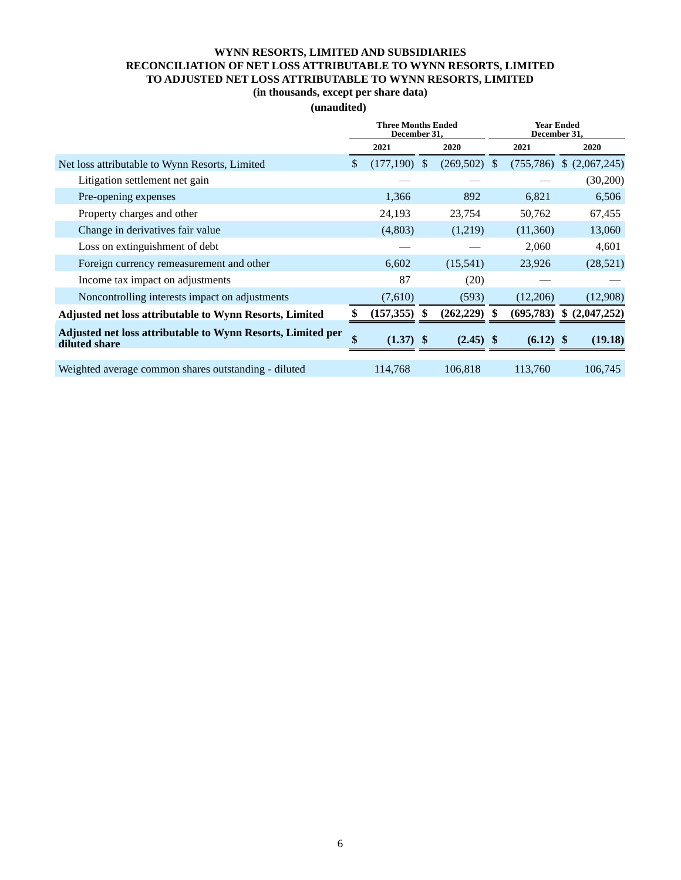## **WYNN RESORTS, LIMITED AND SUBSIDIARIES RECONCILIATION OF NET LOSS ATTRIBUTABLE TO WYNN RESORTS, LIMITED TO ADJUSTED NET LOSS ATTRIBUTABLE TO WYNN RESORTS, LIMITED**

# **(in thousands, except per share data)**

## **(unaudited)**

|                                                                              |    | <b>Three Months Ended</b><br>December 31, |     |             |               | <b>Year Ended</b><br>December 31, |    |             |
|------------------------------------------------------------------------------|----|-------------------------------------------|-----|-------------|---------------|-----------------------------------|----|-------------|
|                                                                              |    | 2021                                      |     | 2020        |               | 2021                              |    | 2020        |
| Net loss attributable to Wynn Resorts, Limited                               | \$ | (177,190)                                 | -\$ | (269, 502)  | <sup>\$</sup> | (755, 786)                        |    | (2,067,245) |
| Litigation settlement net gain                                               |    |                                           |     |             |               |                                   |    | (30,200)    |
| Pre-opening expenses                                                         |    | 1,366                                     |     | 892         |               | 6,821                             |    | 6,506       |
| Property charges and other                                                   |    | 24,193                                    |     | 23,754      |               | 50,762                            |    | 67,455      |
| Change in derivatives fair value                                             |    | (4,803)                                   |     | (1,219)     |               | (11,360)                          |    | 13,060      |
| Loss on extinguishment of debt                                               |    |                                           |     |             |               | 2,060                             |    | 4,601       |
| Foreign currency remeasurement and other                                     |    | 6,602                                     |     | (15,541)    |               | 23,926                            |    | (28, 521)   |
| Income tax impact on adjustments                                             |    | 87                                        |     | (20)        |               |                                   |    |             |
| Noncontrolling interests impact on adjustments                               |    | (7,610)                                   |     | (593)       |               | (12,206)                          |    | (12,908)    |
| <b>Adjusted net loss attributable to Wynn Resorts, Limited</b>               |    | (157, 355)                                |     | (262, 229)  |               | (695,783)                         | \$ | (2,047,252) |
| Adjusted net loss attributable to Wynn Resorts, Limited per<br>diluted share |    | $(1.37)$ \$                               |     | $(2.45)$ \$ |               | $(6.12)$ \$                       |    | (19.18)     |
| Weighted average common shares outstanding - diluted                         |    | 114,768                                   |     | 106,818     |               | 113,760                           |    | 106,745     |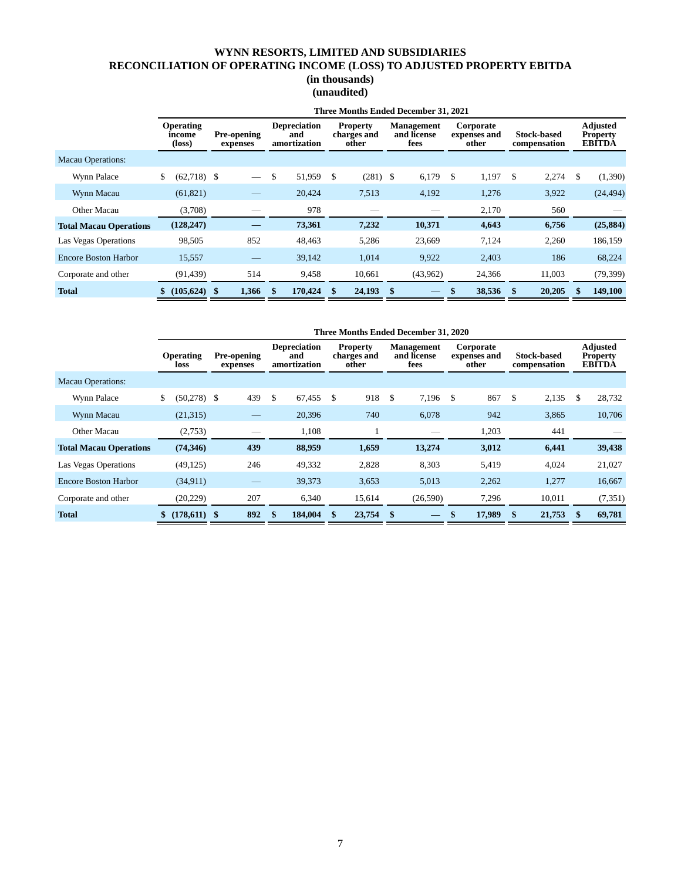## **WYNN RESORTS, LIMITED AND SUBSIDIARIES RECONCILIATION OF OPERATING INCOME (LOSS) TO ADJUSTED PROPERTY EBITDA**

## **(in thousands) (unaudited)**

|                               | Three Months Ended December 31, 2021          |  |                                |               |                                            |               |                                         |      |                                          |               |                                    |    |                                    |    |                                                     |
|-------------------------------|-----------------------------------------------|--|--------------------------------|---------------|--------------------------------------------|---------------|-----------------------------------------|------|------------------------------------------|---------------|------------------------------------|----|------------------------------------|----|-----------------------------------------------------|
|                               | <b>Operating</b><br>income<br>$(\text{loss})$ |  | <b>Pre-opening</b><br>expenses |               | <b>Depreciation</b><br>and<br>amortization |               | <b>Property</b><br>charges and<br>other |      | <b>Management</b><br>and license<br>fees |               | Corporate<br>expenses and<br>other |    | <b>Stock-based</b><br>compensation |    | <b>Adjusted</b><br><b>Property</b><br><b>EBITDA</b> |
| <b>Macau Operations:</b>      |                                               |  |                                |               |                                            |               |                                         |      |                                          |               |                                    |    |                                    |    |                                                     |
| Wynn Palace                   | \$<br>$(62,718)$ \$                           |  |                                | \$            | 51,959                                     | \$            | $(281)$ \$                              |      | 6,179                                    | <sup>\$</sup> | 1,197                              | \$ | 2,274                              | \$ | (1,390)                                             |
| Wynn Macau                    | (61, 821)                                     |  |                                |               | 20,424                                     |               | 7,513                                   |      | 4,192                                    |               | 1,276                              |    | 3,922                              |    | (24, 494)                                           |
| Other Macau                   | (3,708)                                       |  |                                |               | 978                                        |               |                                         |      |                                          |               | 2,170                              |    | 560                                |    |                                                     |
| <b>Total Macau Operations</b> | (128, 247)                                    |  |                                |               | 73,361                                     |               | 7,232                                   |      | 10,371                                   |               | 4,643                              |    | 6,756                              |    | (25, 884)                                           |
| Las Vegas Operations          | 98,505                                        |  | 852                            |               | 48,463                                     |               | 5,286                                   |      | 23,669                                   |               | 7,124                              |    | 2,260                              |    | 186,159                                             |
| Encore Boston Harbor          | 15,557                                        |  |                                |               | 39,142                                     |               | 1,014                                   |      | 9,922                                    |               | 2,403                              |    | 186                                |    | 68,224                                              |
| Corporate and other           | (91, 439)                                     |  | 514                            |               | 9,458                                      |               | 10,661                                  |      | (43,962)                                 |               | 24,366                             |    | 11,003                             |    | (79, 399)                                           |
| <b>Total</b>                  | $(105,624)$ \$                                |  | 1,366                          | <sup>\$</sup> | 170,424                                    | <sup>\$</sup> | 24,193                                  | - \$ |                                          | \$            | 38,536                             | -S | 20,205                             | \$ | 149,100                                             |

|                               |                          | Three Months Ended December 31, 2020 |    |                                            |    |                                         |           |                                          |  |                                    |    |                                    |    |                                                     |
|-------------------------------|--------------------------|--------------------------------------|----|--------------------------------------------|----|-----------------------------------------|-----------|------------------------------------------|--|------------------------------------|----|------------------------------------|----|-----------------------------------------------------|
|                               | <b>Operating</b><br>loss | Pre-opening<br>expenses              |    | <b>Depreciation</b><br>and<br>amortization |    | <b>Property</b><br>charges and<br>other |           | <b>Management</b><br>and license<br>fees |  | Corporate<br>expenses and<br>other |    | <b>Stock-based</b><br>compensation |    | <b>Adjusted</b><br><b>Property</b><br><b>EBITDA</b> |
| <b>Macau Operations:</b>      |                          |                                      |    |                                            |    |                                         |           |                                          |  |                                    |    |                                    |    |                                                     |
| Wynn Palace                   | (50, 278)<br>\$          | 439<br>-S                            | \$ | 67,455                                     | \$ | 918                                     | \$        | 7,196 \$                                 |  | 867                                | \$ | 2,135                              | \$ | 28,732                                              |
| Wynn Macau                    | (21, 315)                |                                      |    | 20,396                                     |    | 740                                     |           | 6,078                                    |  | 942                                |    | 3,865                              |    | 10,706                                              |
| Other Macau                   | (2,753)                  |                                      |    | 1,108                                      |    |                                         |           |                                          |  | 1,203                              |    | 441                                |    |                                                     |
| <b>Total Macau Operations</b> | (74, 346)                | 439                                  |    | 88,959                                     |    | 1,659                                   |           | 13,274                                   |  | 3,012                              |    | 6,441                              |    | 39,438                                              |
| Las Vegas Operations          | (49, 125)                | 246                                  |    | 49,332                                     |    | 2,828                                   |           | 8,303                                    |  | 5,419                              |    | 4,024                              |    | 21,027                                              |
| <b>Encore Boston Harbor</b>   | (34.911)                 |                                      |    | 39,373                                     |    | 3,653                                   |           | 5,013                                    |  | 2,262                              |    | 1,277                              |    | 16,667                                              |
| Corporate and other           | (20, 229)                | 207                                  |    | 6,340                                      |    | 15,614                                  |           | (26,590)                                 |  | 7,296                              |    | 10,011                             |    | (7, 351)                                            |
| <b>Total</b>                  | $(178,611)$ \$           | 892                                  |    | 184,004                                    |    | 23,754                                  | $\sim$ \$ |                                          |  | 17,989                             |    | 21,753                             |    | 69,781                                              |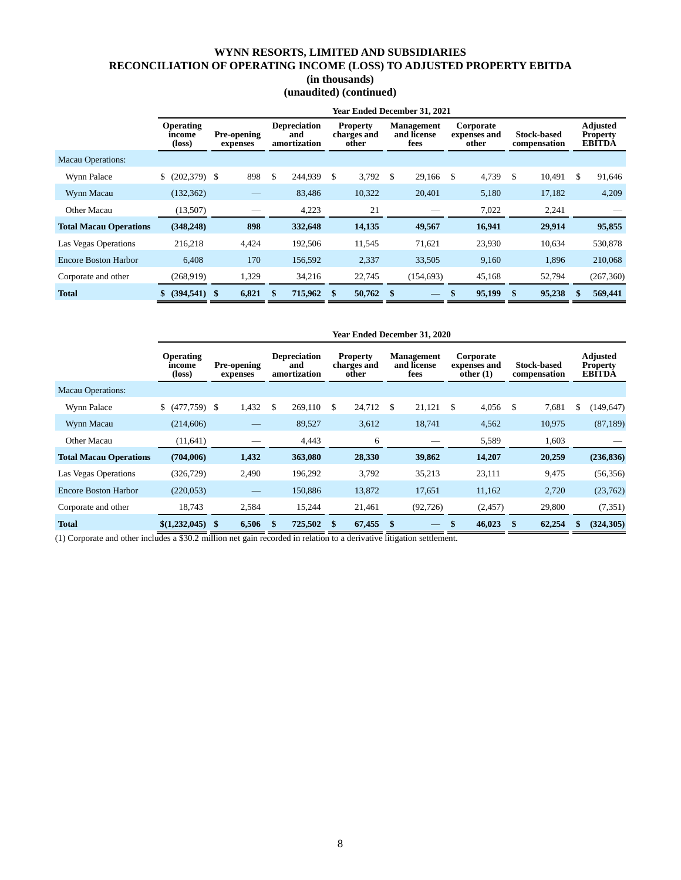# **WYNN RESORTS, LIMITED AND SUBSIDIARIES RECONCILIATION OF OPERATING INCOME (LOSS) TO ADJUSTED PROPERTY EBITDA**

|  | (in thousands) |
|--|----------------|
|--|----------------|

## **(unaudited) (continued)**

|                               |                                               |                                |                                            |                                         |      | <b>Year Ended December 31, 2021</b>      |                                    |                                    |     |                                                     |
|-------------------------------|-----------------------------------------------|--------------------------------|--------------------------------------------|-----------------------------------------|------|------------------------------------------|------------------------------------|------------------------------------|-----|-----------------------------------------------------|
|                               | <b>Operating</b><br>income<br>$(\text{loss})$ | <b>Pre-opening</b><br>expenses | <b>Depreciation</b><br>and<br>amortization | <b>Property</b><br>charges and<br>other |      | <b>Management</b><br>and license<br>fees | Corporate<br>expenses and<br>other | <b>Stock-based</b><br>compensation |     | <b>Adjusted</b><br><b>Property</b><br><b>EBITDA</b> |
| <b>Macau Operations:</b>      |                                               |                                |                                            |                                         |      |                                          |                                    |                                    |     |                                                     |
| Wynn Palace                   | \$ (202,379) \$                               | 898                            | \$<br>244,939                              | \$<br>3,792                             | \$   | 29,166                                   | \$<br>4,739                        | \$<br>10,491                       | \$. | 91,646                                              |
| Wynn Macau                    | (132, 362)                                    |                                | 83,486                                     | 10,322                                  |      | 20,401                                   | 5,180                              | 17,182                             |     | 4,209                                               |
| Other Macau                   | (13,507)                                      |                                | 4,223                                      | 21                                      |      |                                          | 7,022                              | 2,241                              |     |                                                     |
| <b>Total Macau Operations</b> | (348, 248)                                    | 898                            | 332,648                                    | 14,135                                  |      | 49,567                                   | 16,941                             | 29,914                             |     | 95,855                                              |
| Las Vegas Operations          | 216,218                                       | 4,424                          | 192,506                                    | 11,545                                  |      | 71,621                                   | 23,930                             | 10,634                             |     | 530,878                                             |
| <b>Encore Boston Harbor</b>   | 6.408                                         | 170                            | 156,592                                    | 2,337                                   |      | 33,505                                   | 9,160                              | 1,896                              |     | 210,068                                             |
| Corporate and other           | (268, 919)                                    | 1,329                          | 34,216                                     | 22,745                                  |      | (154, 693)                               | 45,168                             | 52,794                             |     | (267, 360)                                          |
| <b>Total</b>                  | $(394,541)$ \$                                | 6,821                          | 715,962                                    | 50,762                                  | - \$ |                                          | \$<br>95,199                       | \$<br>95,238                       |     | 569,441                                             |

|                               | <b>Year Ended December 31, 2020</b>  |                                |     |                                            |     |                                         |    |                                          |    |                                       |    |                                    |    |                                                     |
|-------------------------------|--------------------------------------|--------------------------------|-----|--------------------------------------------|-----|-----------------------------------------|----|------------------------------------------|----|---------------------------------------|----|------------------------------------|----|-----------------------------------------------------|
|                               | <b>Operating</b><br>income<br>(loss) | <b>Pre-opening</b><br>expenses |     | <b>Depreciation</b><br>and<br>amortization |     | <b>Property</b><br>charges and<br>other |    | <b>Management</b><br>and license<br>fees |    | Corporate<br>expenses and<br>other(1) |    | <b>Stock-based</b><br>compensation |    | <b>Adjusted</b><br><b>Property</b><br><b>EBITDA</b> |
| <b>Macau Operations:</b>      |                                      |                                |     |                                            |     |                                         |    |                                          |    |                                       |    |                                    |    |                                                     |
| Wynn Palace                   | \$ (477,759) \$                      | 1,432                          | \$. | 269,110                                    | \$. | 24,712                                  | \$ | 21,121                                   | \$ | 4,056                                 | S  | 7,681                              | \$ | (149, 647)                                          |
| Wynn Macau                    | (214, 606)                           |                                |     | 89,527                                     |     | 3,612                                   |    | 18,741                                   |    | 4,562                                 |    | 10,975                             |    | (87, 189)                                           |
| Other Macau                   | (11, 641)                            |                                |     | 4,443                                      |     | 6                                       |    |                                          |    | 5,589                                 |    | 1,603                              |    |                                                     |
| <b>Total Macau Operations</b> | (704,006)                            | 1,432                          |     | 363,080                                    |     | 28,330                                  |    | 39,862                                   |    | 14,207                                |    | 20,259                             |    | (236, 836)                                          |
| Las Vegas Operations          | (326, 729)                           | 2,490                          |     | 196,292                                    |     | 3,792                                   |    | 35,213                                   |    | 23,111                                |    | 9,475                              |    | (56, 356)                                           |
| <b>Encore Boston Harbor</b>   | (220, 053)                           |                                |     | 150.886                                    |     | 13,872                                  |    | 17,651                                   |    | 11,162                                |    | 2,720                              |    | (23,762)                                            |
| Corporate and other           | 18,743                               | 2,584                          |     | 15,244                                     |     | 21,461                                  |    | (92, 726)                                |    | (2,457)                               |    | 29,800                             |    | (7, 351)                                            |
| <b>Total</b>                  | \$(1,232,045)                        | 6,506<br>\$                    |     | 725,502                                    | \$  | 67,455                                  | \$ |                                          | \$ | 46.023                                | \$ | 62,254                             |    | (324, 305)                                          |

(1) Corporate and other includes a \$30.2 million net gain recorded in relation to a derivative litigation settlement.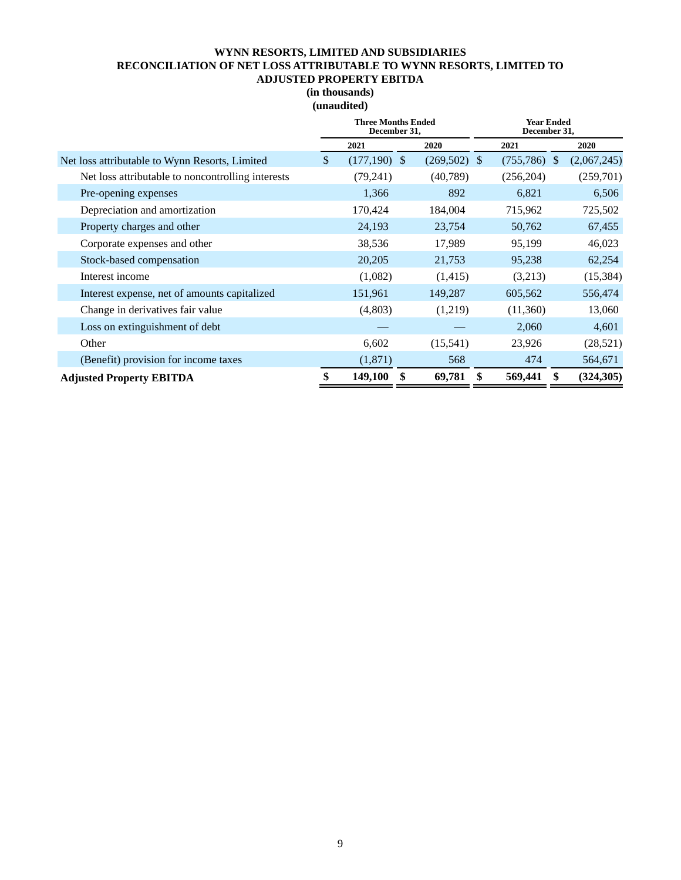## **WYNN RESORTS, LIMITED AND SUBSIDIARIES RECONCILIATION OF NET LOSS ATTRIBUTABLE TO WYNN RESORTS, LIMITED TO ADJUSTED PROPERTY EBITDA**

## **(in thousands) (unaudited)**

|                                                   | <b>Three Months Ended</b><br>December 31, |                | <b>Year Ended</b><br>December 31, |                |  |             |  |  |
|---------------------------------------------------|-------------------------------------------|----------------|-----------------------------------|----------------|--|-------------|--|--|
|                                                   | 2021                                      | 2020           |                                   | 2021           |  | 2020        |  |  |
| Net loss attributable to Wynn Resorts, Limited    | \$<br>$(177,190)$ \$                      | $(269,502)$ \$ |                                   | $(755,786)$ \$ |  | (2,067,245) |  |  |
| Net loss attributable to noncontrolling interests | (79,241)                                  | (40, 789)      |                                   | (256, 204)     |  | (259,701)   |  |  |
| Pre-opening expenses                              | 1,366                                     | 892            |                                   | 6,821          |  | 6,506       |  |  |
| Depreciation and amortization                     | 170,424                                   | 184,004        |                                   | 715,962        |  | 725,502     |  |  |
| Property charges and other                        | 24,193                                    | 23,754         |                                   | 50,762         |  | 67,455      |  |  |
| Corporate expenses and other                      | 38,536                                    | 17,989         |                                   | 95,199         |  | 46,023      |  |  |
| Stock-based compensation                          | 20,205                                    | 21,753         |                                   | 95,238         |  | 62,254      |  |  |
| Interest income                                   | (1,082)                                   | (1,415)        |                                   | (3,213)        |  | (15, 384)   |  |  |
| Interest expense, net of amounts capitalized      | 151,961                                   | 149,287        |                                   | 605,562        |  | 556,474     |  |  |
| Change in derivatives fair value                  | (4,803)                                   | (1,219)        |                                   | (11,360)       |  | 13,060      |  |  |
| Loss on extinguishment of debt                    |                                           |                |                                   | 2,060          |  | 4,601       |  |  |
| Other                                             | 6,602                                     | (15,541)       |                                   | 23,926         |  | (28, 521)   |  |  |
| (Benefit) provision for income taxes              | (1,871)                                   | 568            |                                   | 474            |  | 564,671     |  |  |
| <b>Adjusted Property EBITDA</b>                   | \$<br>149,100                             | \$<br>69,781   | \$                                | 569,441        |  | (324, 305)  |  |  |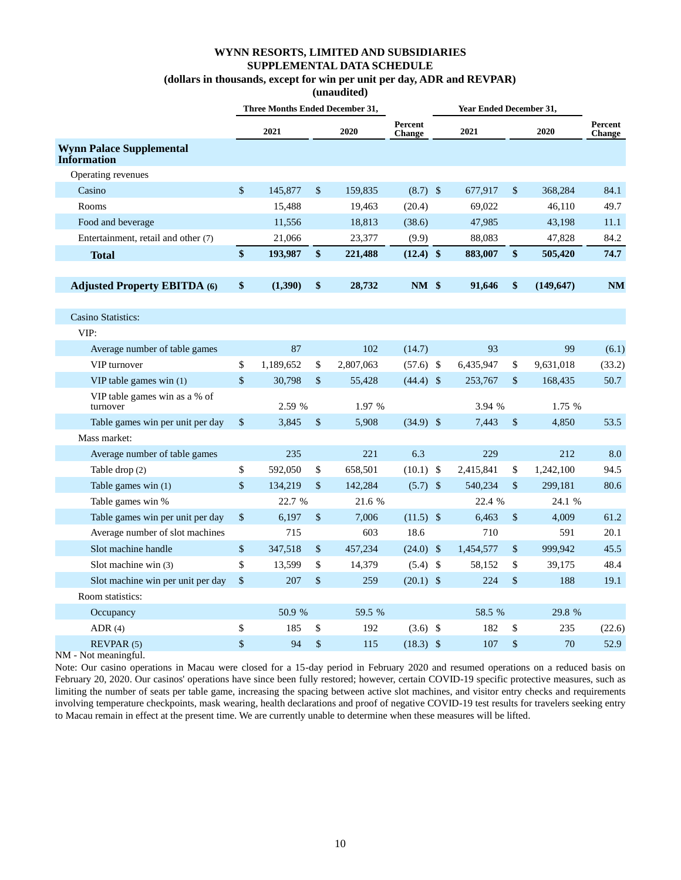**(unaudited)**

|                                                       |      | Three Months Ended December 31, |                           |           |                          | <b>Year Ended December 31,</b> |               |            |                          |
|-------------------------------------------------------|------|---------------------------------|---------------------------|-----------|--------------------------|--------------------------------|---------------|------------|--------------------------|
|                                                       |      | 2021                            |                           | 2020      | Percent<br><b>Change</b> | 2021                           |               | 2020       | Percent<br><b>Change</b> |
| <b>Wynn Palace Supplemental</b><br><b>Information</b> |      |                                 |                           |           |                          |                                |               |            |                          |
| Operating revenues                                    |      |                                 |                           |           |                          |                                |               |            |                          |
| Casino                                                | \$   | 145,877                         | \$                        | 159,835   | $(8.7)$ \$               | 677,917                        | $\mathsf{\$}$ | 368,284    | 84.1                     |
| Rooms                                                 |      | 15,488                          |                           | 19,463    | (20.4)                   | 69,022                         |               | 46,110     | 49.7                     |
| Food and beverage                                     |      | 11,556                          |                           | 18,813    | (38.6)                   | 47,985                         |               | 43,198     | 11.1                     |
| Entertainment, retail and other (7)                   |      | 21,066                          |                           | 23,377    | (9.9)                    | 88,083                         |               | 47,828     | 84.2                     |
| <b>Total</b>                                          | \$   | 193,987                         | \$                        | 221,488   | $(12.4)$ \$              | 883,007                        | \$            | 505,420    | 74.7                     |
| <b>Adjusted Property EBITDA (6)</b>                   | \$   | (1,390)                         | \$                        | 28,732    | $NM$ \$                  | 91,646                         | \$            | (149, 647) | <b>NM</b>                |
| <b>Casino Statistics:</b>                             |      |                                 |                           |           |                          |                                |               |            |                          |
| VIP:                                                  |      |                                 |                           |           |                          |                                |               |            |                          |
| Average number of table games                         |      | 87                              |                           | 102       | (14.7)                   | 93                             |               | 99         | (6.1)                    |
| VIP turnover                                          | \$   | 1,189,652                       | \$                        | 2,807,063 | $(57.6)$ \$              | 6,435,947                      | \$            | 9,631,018  | (33.2)                   |
| VIP table games win $(1)$                             | \$   | 30,798                          | $\boldsymbol{\mathsf{S}}$ | 55,428    | $(44.4)$ \$              | 253,767                        | \$            | 168,435    | 50.7                     |
| VIP table games win as a % of<br>turnover             |      | 2.59 %                          |                           | 1.97 %    |                          | 3.94 %                         |               | 1.75 %     |                          |
| Table games win per unit per day                      | \$   | 3.845                           | \$                        | 5,908     | $(34.9)$ \$              | 7.443                          | \$            | 4.850      | 53.5                     |
| Mass market:                                          |      |                                 |                           |           |                          |                                |               |            |                          |
| Average number of table games                         |      | 235                             |                           | 221       | 6.3                      | 229                            |               | 212        | 8.0                      |
| Table drop (2)                                        | \$   | 592,050                         | \$                        | 658,501   | $(10.1)$ \$              | 2,415,841                      | \$            | 1,242,100  | 94.5                     |
| Table games win (1)                                   | \$   | 134,219                         | \$                        | 142,284   | $(5.7)$ \$               | 540,234                        | $\mathsf{\$}$ | 299,181    | 80.6                     |
| Table games win %                                     |      | 22.7 %                          |                           | 21.6 %    |                          | 22.4 %                         |               | 24.1 %     |                          |
| Table games win per unit per day                      | $\$$ | 6,197                           | \$                        | 7,006     | $(11.5)$ \$              | 6,463                          | \$            | 4,009      | 61.2                     |
| Average number of slot machines                       |      | 715                             |                           | 603       | 18.6                     | 710                            |               | 591        | 20.1                     |
| Slot machine handle                                   | \$   | 347,518                         | \$                        | 457,234   | $(24.0)$ \$              | 1,454,577                      | \$            | 999,942    | 45.5                     |
| Slot machine win (3)                                  | \$   | 13,599                          | \$                        | 14,379    | $(5.4)$ \$               | 58,152                         | \$            | 39,175     | 48.4                     |
| Slot machine win per unit per day                     | \$   | 207                             | \$                        | 259       | $(20.1)$ \$              | 224                            | \$            | 188        | 19.1                     |
| Room statistics:                                      |      |                                 |                           |           |                          |                                |               |            |                          |
| Occupancy                                             |      | 50.9 %                          |                           | 59.5 %    |                          | 58.5 %                         |               | 29.8 %     |                          |
| ADR(4)                                                | \$   | 185                             | \$                        | 192       | $(3.6)$ \$               | 182                            | \$            | 235        | (22.6)                   |
| REVPAR(5)                                             | \$   | 94                              | \$                        | 115       | $(18.3)$ \$              | 107                            | \$            | 70         | 52.9                     |

NM - Not meaningful.

Note: Our casino operations in Macau were closed for a 15-day period in February 2020 and resumed operations on a reduced basis on February 20, 2020. Our casinos' operations have since been fully restored; however, certain COVID-19 specific protective measures, such as limiting the number of seats per table game, increasing the spacing between active slot machines, and visitor entry checks and requirements involving temperature checkpoints, mask wearing, health declarations and proof of negative COVID-19 test results for travelers seeking entry to Macau remain in effect at the present time. We are currently unable to determine when these measures will be lifted.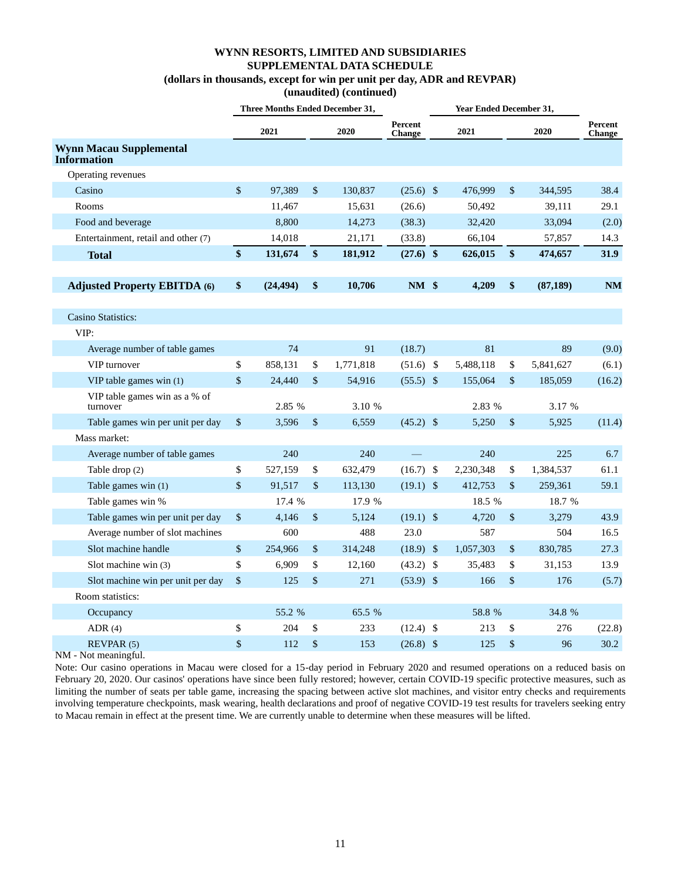**(unaudited) (continued)**

|                                                      | <b>Three Months Ended December 31,</b> |              |           |                   | <b>Year Ended December 31,</b> |      |           |                                 |
|------------------------------------------------------|----------------------------------------|--------------|-----------|-------------------|--------------------------------|------|-----------|---------------------------------|
|                                                      | 2021                                   |              | 2020      | Percent<br>Change | 2021                           |      | 2020      | <b>Percent</b><br><b>Change</b> |
| <b>Wynn Macau Supplemental</b><br><b>Information</b> |                                        |              |           |                   |                                |      |           |                                 |
| Operating revenues                                   |                                        |              |           |                   |                                |      |           |                                 |
| Casino                                               | \$<br>97,389                           | \$           | 130,837   | $(25.6)$ \$       | 476,999                        | \$   | 344,595   | 38.4                            |
| Rooms                                                | 11,467                                 |              | 15,631    | (26.6)            | 50,492                         |      | 39,111    | 29.1                            |
| Food and beverage                                    | 8,800                                  |              | 14,273    | (38.3)            | 32,420                         |      | 33,094    | (2.0)                           |
| Entertainment, retail and other (7)                  | 14,018                                 |              | 21,171    | (33.8)            | 66,104                         |      | 57,857    | 14.3                            |
| <b>Total</b>                                         | \$<br>131,674                          | \$           | 181,912   | $(27.6)$ \$       | 626,015                        | \$   | 474,657   | <b>31.9</b>                     |
| <b>Adjusted Property EBITDA (6)</b>                  | \$<br>(24, 494)                        | \$           | 10,706    | $NM$ \$           | 4,209                          | \$   | (87, 189) | <b>NM</b>                       |
| <b>Casino Statistics:</b>                            |                                        |              |           |                   |                                |      |           |                                 |
| VIP:                                                 |                                        |              |           |                   |                                |      |           |                                 |
| Average number of table games                        | 74                                     |              | 91        | (18.7)            | 81                             |      | 89        | (9.0)                           |
| VIP turnover                                         | \$<br>858,131                          | \$           | 1,771,818 | $(51.6)$ \$       | 5,488,118                      | \$   | 5,841,627 | (6.1)                           |
| VIP table games win (1)                              | \$<br>24,440                           | $\mathbb{S}$ | 54,916    | $(55.5)$ \$       | 155,064                        | \$   | 185,059   | (16.2)                          |
| VIP table games win as a % of<br>turnover            | 2.85 %                                 |              | 3.10 %    |                   | 2.83 %                         |      | 3.17 %    |                                 |
| Table games win per unit per day                     | \$<br>3,596                            | \$           | 6,559     | $(45.2)$ \$       | 5,250                          | $\$$ | 5,925     | (11.4)                          |
| Mass market:                                         |                                        |              |           |                   |                                |      |           |                                 |
| Average number of table games                        | 240                                    |              | 240       |                   | 240                            |      | 225       | 6.7                             |
| Table drop (2)                                       | \$<br>527,159                          | \$           | 632,479   | (16.7)            | \$<br>2,230,348                | \$   | 1,384,537 | 61.1                            |
| Table games win (1)                                  | \$<br>91,517                           | \$           | 113,130   | $(19.1)$ \$       | 412,753                        | \$   | 259,361   | 59.1                            |
| Table games win %                                    | 17.4 %                                 |              | 17.9 %    |                   | 18.5 %                         |      | 18.7 %    |                                 |
| Table games win per unit per day                     | \$<br>4,146                            | \$           | 5,124     | $(19.1)$ \$       | 4,720                          | \$   | 3,279     | 43.9                            |
| Average number of slot machines                      | 600                                    |              | 488       | 23.0              | 587                            |      | 504       | 16.5                            |
| Slot machine handle                                  | \$<br>254,966                          | \$           | 314,248   | $(18.9)$ \$       | 1,057,303                      | $\$$ | 830,785   | 27.3                            |
| Slot machine win (3)                                 | \$<br>6,909                            | \$           | 12,160    | $(43.2)$ \$       | 35,483                         | \$   | 31,153    | 13.9                            |
| Slot machine win per unit per day                    | \$<br>125                              | \$           | 271       | $(53.9)$ \$       | 166                            | $\$$ | 176       | (5.7)                           |
| Room statistics:                                     |                                        |              |           |                   |                                |      |           |                                 |
| Occupancy                                            | 55.2 %                                 |              | 65.5 %    |                   | 58.8 %                         |      | 34.8 %    |                                 |
| ADR $(4)$                                            | \$<br>204                              | \$           | 233       | $(12.4)$ \$       | 213                            | \$   | 276       | (22.8)                          |
| REVPAR (5)                                           | \$<br>112                              | \$           | 153       | $(26.8)$ \$       | 125                            | \$   | 96        | 30.2                            |

NM - Not meaningful.

Note: Our casino operations in Macau were closed for a 15-day period in February 2020 and resumed operations on a reduced basis on February 20, 2020. Our casinos' operations have since been fully restored; however, certain COVID-19 specific protective measures, such as limiting the number of seats per table game, increasing the spacing between active slot machines, and visitor entry checks and requirements involving temperature checkpoints, mask wearing, health declarations and proof of negative COVID-19 test results for travelers seeking entry to Macau remain in effect at the present time. We are currently unable to determine when these measures will be lifted.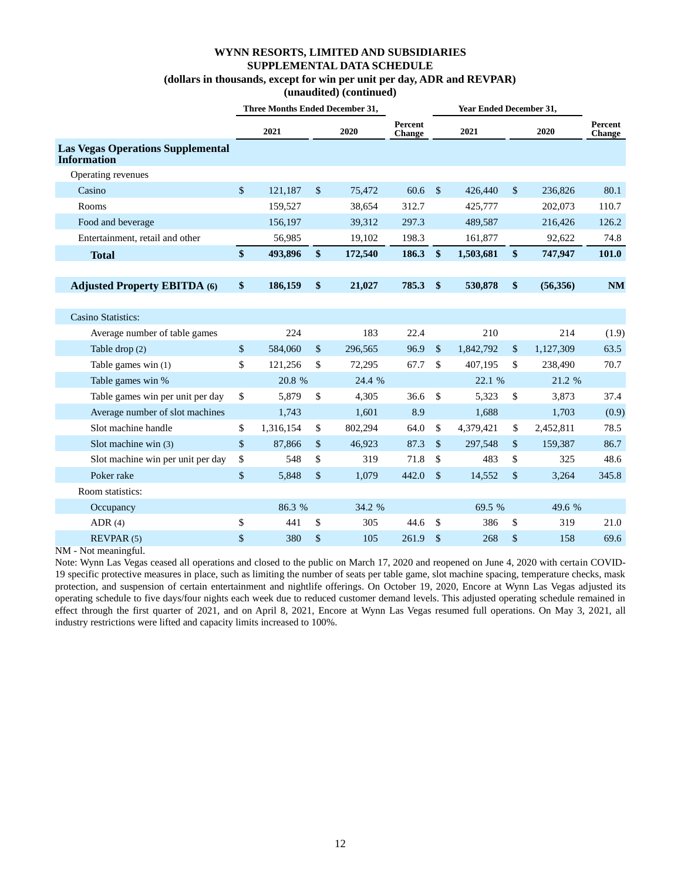**(unaudited) (continued)**

|                                                                |                   | <b>Three Months Ended December 31,</b> |                           |         |                          |               | Year Ended December 31, |               |           |                          |
|----------------------------------------------------------------|-------------------|----------------------------------------|---------------------------|---------|--------------------------|---------------|-------------------------|---------------|-----------|--------------------------|
|                                                                |                   | 2021                                   |                           | 2020    | Percent<br><b>Change</b> |               | 2021                    |               | 2020      | Percent<br><b>Change</b> |
| <b>Las Vegas Operations Supplemental</b><br><b>Information</b> |                   |                                        |                           |         |                          |               |                         |               |           |                          |
| Operating revenues                                             |                   |                                        |                           |         |                          |               |                         |               |           |                          |
| Casino                                                         | \$                | 121,187                                | $\mathbb{S}$              | 75,472  | 60.6                     | $\mathbb{S}$  | 426,440                 | $\mathbb{S}$  | 236,826   | 80.1                     |
| Rooms                                                          |                   | 159,527                                |                           | 38,654  | 312.7                    |               | 425,777                 |               | 202,073   | 110.7                    |
| Food and beverage                                              |                   | 156,197                                |                           | 39,312  | 297.3                    |               | 489,587                 |               | 216,426   | 126.2                    |
| Entertainment, retail and other                                |                   | 56,985                                 |                           | 19,102  | 198.3                    |               | 161,877                 |               | 92,622    | 74.8                     |
| <b>Total</b>                                                   | $\frac{1}{2}$     | 493,896                                | $\frac{1}{2}$             | 172,540 | 186.3                    | $\frac{1}{2}$ | 1,503,681               | $\frac{1}{2}$ | 747,947   | 101.0                    |
|                                                                |                   |                                        |                           |         |                          |               |                         |               |           |                          |
| <b>Adjusted Property EBITDA (6)</b>                            | $\boldsymbol{\$}$ | 186,159                                | \$                        | 21,027  | 785.3                    | $\frac{1}{2}$ | 530,878                 | \$            | (56,356)  | <b>NM</b>                |
|                                                                |                   |                                        |                           |         |                          |               |                         |               |           |                          |
| <b>Casino Statistics:</b>                                      |                   |                                        |                           |         |                          |               |                         |               |           |                          |
| Average number of table games                                  |                   | 224                                    |                           | 183     | 22.4                     |               | 210                     |               | 214       | (1.9)                    |
| Table drop (2)                                                 | \$                | 584,060                                | $\sqrt{\ }$               | 296,565 | 96.9                     | $\sqrt{\ }$   | 1,842,792               | $\sqrt{\ }$   | 1,127,309 | 63.5                     |
| Table games win $(1)$                                          | \$                | 121,256                                | \$                        | 72,295  | 67.7                     | \$            | 407,195                 | \$            | 238,490   | 70.7                     |
| Table games win %                                              |                   | 20.8 %                                 |                           | 24.4 %  |                          |               | 22.1 %                  |               | 21.2 %    |                          |
| Table games win per unit per day                               | \$                | 5,879                                  | \$                        | 4,305   | 36.6                     | \$            | 5,323                   | \$            | 3,873     | 37.4                     |
| Average number of slot machines                                |                   | 1,743                                  |                           | 1,601   | 8.9                      |               | 1,688                   |               | 1,703     | (0.9)                    |
| Slot machine handle                                            | \$                | 1,316,154                              | \$                        | 802,294 | 64.0                     | \$            | 4,379,421               | \$            | 2,452,811 | 78.5                     |
| Slot machine win (3)                                           | \$                | 87,866                                 | $\boldsymbol{\mathsf{S}}$ | 46,923  | 87.3                     | $\mathbb{S}$  | 297,548                 | \$            | 159,387   | 86.7                     |
| Slot machine win per unit per day                              | \$                | 548                                    | \$                        | 319     | 71.8                     | \$            | 483                     | \$            | 325       | 48.6                     |
| Poker rake                                                     | \$                | 5,848                                  | \$                        | 1,079   | 442.0                    | $\mathcal{S}$ | 14,552                  | $\mathsf{\$}$ | 3,264     | 345.8                    |
| Room statistics:                                               |                   |                                        |                           |         |                          |               |                         |               |           |                          |
| Occupancy                                                      |                   | 86.3 %                                 |                           | 34.2 %  |                          |               | 69.5 %                  |               | 49.6 %    |                          |
| ADR $(4)$                                                      | \$                | 441                                    | \$                        | 305     | 44.6                     | \$            | 386                     | \$            | 319       | 21.0                     |
| REVPAR (5)                                                     | \$                | 380                                    | \$                        | 105     | 261.9                    | $\mathcal{S}$ | 268                     | \$            | 158       | 69.6                     |

NM - Not meaningful.

Note: Wynn Las Vegas ceased all operations and closed to the public on March 17, 2020 and reopened on June 4, 2020 with certain COVID-19 specific protective measures in place, such as limiting the number of seats per table game, slot machine spacing, temperature checks, mask protection, and suspension of certain entertainment and nightlife offerings. On October 19, 2020, Encore at Wynn Las Vegas adjusted its operating schedule to five days/four nights each week due to reduced customer demand levels. This adjusted operating schedule remained in effect through the first quarter of 2021, and on April 8, 2021, Encore at Wynn Las Vegas resumed full operations. On May 3, 2021, all industry restrictions were lifted and capacity limits increased to 100%.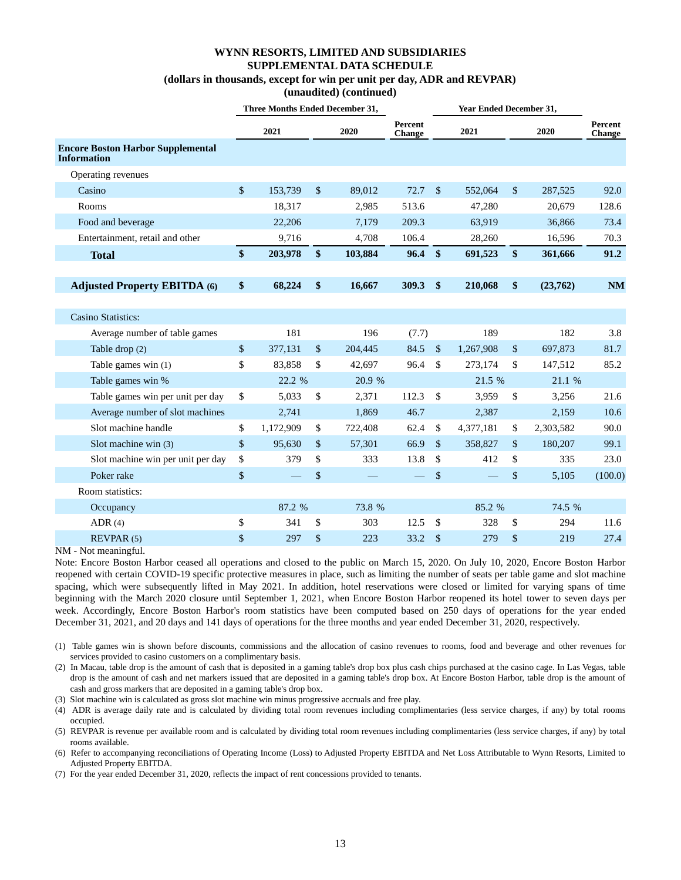**(unaudited) (continued)**

|                                                                | Three Months Ended December 31, |           |                           |         |                          | <b>Year Ended December 31,</b> |           |             |           |                          |
|----------------------------------------------------------------|---------------------------------|-----------|---------------------------|---------|--------------------------|--------------------------------|-----------|-------------|-----------|--------------------------|
|                                                                |                                 | 2021      |                           | 2020    | Percent<br><b>Change</b> |                                | 2021      |             | 2020      | <b>Percent</b><br>Change |
| <b>Encore Boston Harbor Supplemental</b><br><b>Information</b> |                                 |           |                           |         |                          |                                |           |             |           |                          |
| Operating revenues                                             |                                 |           |                           |         |                          |                                |           |             |           |                          |
| Casino                                                         | $\sqrt{\ }$                     | 153.739   | $\boldsymbol{\mathsf{S}}$ | 89.012  | 72.7                     | $\mathbb{S}$                   | 552,064   | \$          | 287,525   | 92.0                     |
| Rooms                                                          |                                 | 18,317    |                           | 2,985   | 513.6                    |                                | 47,280    |             | 20,679    | 128.6                    |
| Food and beverage                                              |                                 | 22,206    |                           | 7,179   | 209.3                    |                                | 63,919    |             | 36,866    | 73.4                     |
| Entertainment, retail and other                                |                                 | 9,716     |                           | 4,708   | 106.4                    |                                | 28,260    |             | 16,596    | 70.3                     |
| <b>Total</b>                                                   | \$                              | 203,978   | \$                        | 103,884 | 96.4                     | $\boldsymbol{\$}$              | 691,523   | \$          | 361,666   | 91.2                     |
|                                                                |                                 |           |                           |         |                          |                                |           |             |           |                          |
| <b>Adjusted Property EBITDA (6)</b>                            | \$                              | 68,224    | \$                        | 16,667  | 309.3                    | \$                             | 210,068   | \$          | (23,762)  | $\mathbf{N}\mathbf{M}$   |
|                                                                |                                 |           |                           |         |                          |                                |           |             |           |                          |
| <b>Casino Statistics:</b>                                      |                                 |           |                           |         |                          |                                |           |             |           |                          |
| Average number of table games                                  |                                 | 181       |                           | 196     | (7.7)                    |                                | 189       |             | 182       | 3.8                      |
| Table drop (2)                                                 | $\$$                            | 377,131   | $\boldsymbol{\mathsf{S}}$ | 204,445 | 84.5                     | $\mathbb{S}$                   | 1,267,908 | $\sqrt{\ }$ | 697,873   | 81.7                     |
| Table games win (1)                                            | \$                              | 83,858    | \$                        | 42,697  | 96.4                     | \$                             | 273,174   | \$          | 147,512   | 85.2                     |
| Table games win %                                              |                                 | 22.2 %    |                           | 20.9 %  |                          |                                | 21.5 %    |             | 21.1 %    |                          |
| Table games win per unit per day                               | \$                              | 5,033     | \$                        | 2,371   | 112.3                    | \$                             | 3,959     | \$          | 3,256     | 21.6                     |
| Average number of slot machines                                |                                 | 2,741     |                           | 1,869   | 46.7                     |                                | 2,387     |             | 2,159     | 10.6                     |
| Slot machine handle                                            | \$                              | 1,172,909 | \$                        | 722,408 | 62.4                     | \$                             | 4,377,181 | \$          | 2,303,582 | 90.0                     |
| Slot machine win (3)                                           | \$                              | 95,630    | $\boldsymbol{\mathsf{S}}$ | 57,301  | 66.9                     | $\boldsymbol{\mathsf{S}}$      | 358,827   | \$          | 180,207   | 99.1                     |
| Slot machine win per unit per day                              | \$                              | 379       | \$                        | 333     | 13.8                     | \$                             | 412       | \$          | 335       | 23.0                     |
| Poker rake                                                     | \$                              |           | \$                        |         |                          | \$                             |           | \$          | 5,105     | (100.0)                  |
| Room statistics:                                               |                                 |           |                           |         |                          |                                |           |             |           |                          |
| Occupancy                                                      |                                 | 87.2 %    |                           | 73.8 %  |                          |                                | 85.2 %    |             | 74.5 %    |                          |
| ADR(4)                                                         | \$                              | 341       | \$                        | 303     | 12.5                     | \$                             | 328       | \$          | 294       | 11.6                     |
| REVPAR <sub>(5)</sub>                                          | \$                              | 297       | \$                        | 223     | 33.2                     | \$                             | 279       | \$          | 219       | 27.4                     |

NM - Not meaningful.

Note: Encore Boston Harbor ceased all operations and closed to the public on March 15, 2020. On July 10, 2020, Encore Boston Harbor reopened with certain COVID-19 specific protective measures in place, such as limiting the number of seats per table game and slot machine spacing, which were subsequently lifted in May 2021. In addition, hotel reservations were closed or limited for varying spans of time beginning with the March 2020 closure until September 1, 2021, when Encore Boston Harbor reopened its hotel tower to seven days per week. Accordingly, Encore Boston Harbor's room statistics have been computed based on 250 days of operations for the year ended December 31, 2021, and 20 days and 141 days of operations for the three months and year ended December 31, 2020, respectively.

(1) Table games win is shown before discounts, commissions and the allocation of casino revenues to rooms, food and beverage and other revenues for services provided to casino customers on a complimentary basis.

(2) In Macau, table drop is the amount of cash that is deposited in a gaming table's drop box plus cash chips purchased at the casino cage. In Las Vegas, table drop is the amount of cash and net markers issued that are deposited in a gaming table's drop box. At Encore Boston Harbor, table drop is the amount of cash and gross markers that are deposited in a gaming table's drop box.

(3) Slot machine win is calculated as gross slot machine win minus progressive accruals and free play.

(4) ADR is average daily rate and is calculated by dividing total room revenues including complimentaries (less service charges, if any) by total rooms occupied.

(5) REVPAR is revenue per available room and is calculated by dividing total room revenues including complimentaries (less service charges, if any) by total rooms available.

(6) Refer to accompanying reconciliations of Operating Income (Loss) to Adjusted Property EBITDA and Net Loss Attributable to Wynn Resorts, Limited to Adjusted Property EBITDA.

(7) For the year ended December 31, 2020, reflects the impact of rent concessions provided to tenants.